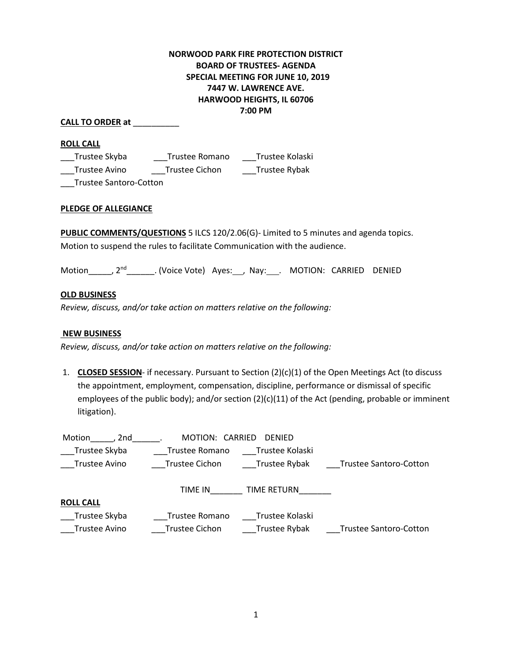# **NORWOOD PARK FIRE PROTECTION DISTRICT BOARD OF TRUSTEES- AGENDA SPECIAL MEETING FOR JUNE 10, 2019 7447 W. LAWRENCE AVE. HARWOOD HEIGHTS, IL 60706 7:00 PM**

# **CALL TO ORDER at** \_\_\_\_\_\_\_\_\_\_

### **ROLL CALL**

\_\_\_Trustee Skyba \_\_\_Trustee Romano \_\_\_Trustee Kolaski \_\_\_Trustee Avino \_\_\_Trustee Cichon \_\_\_Trustee Rybak

\_\_\_Trustee Santoro-Cotton

# **PLEDGE OF ALLEGIANCE**

**PUBLIC COMMENTS/QUESTIONS** 5 ILCS 120/2.06(G)- Limited to 5 minutes and agenda topics. Motion to suspend the rules to facilitate Communication with the audience.

Motion , 2<sup>nd</sup> . (Voice Vote) Ayes: , Nay: . MOTION: CARRIED DENIED

### **OLD BUSINESS**

*Review, discuss, and/or take action on matters relative on the following:*

# **NEW BUSINESS**

*Review, discuss, and/or take action on matters relative on the following:*

1. **CLOSED SESSION**- if necessary. Pursuant to Section (2)(c)(1) of the Open Meetings Act (to discuss the appointment, employment, compensation, discipline, performance or dismissal of specific employees of the public body); and/or section (2)(c)(11) of the Act (pending, probable or imminent litigation).

| 2nd<br>Motion    | MOTION: CARRIED | <b>DENIED</b>   |                               |
|------------------|-----------------|-----------------|-------------------------------|
| Trustee Skyba    | Trustee Romano  | Trustee Kolaski |                               |
| Trustee Avino    | Trustee Cichon  | Trustee Rybak   | <b>Trustee Santoro-Cotton</b> |
|                  |                 |                 |                               |
|                  | TIME IN         | TIME RETURN     |                               |
| <b>ROLL CALL</b> |                 |                 |                               |
| Trustee Skyba    | Trustee Romano  | Trustee Kolaski |                               |
| Trustee Avino    | Trustee Cichon  | Trustee Rybak   | <b>Trustee Santoro-Cotton</b> |